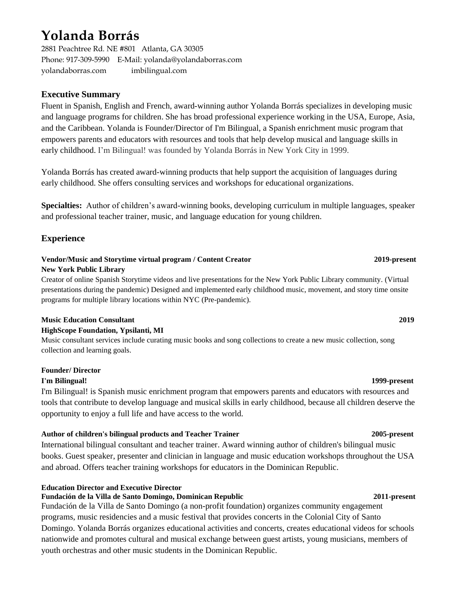# **Yolanda Borrás**

2881 Peachtree Rd. NE #801 Atlanta, GA 30305 Phone: 917-309-5990 E-Mail: yolanda@yolandaborras.com yolandaborras.com imbilingual.com

# **Executive Summary**

Fluent in Spanish, English and French, award-winning author Yolanda Borrás specializes in developing music and language programs for children. She has broad professional experience working in the USA, Europe, Asia, and the Caribbean. Yolanda is Founder/Director of I'm Bilingual, a Spanish enrichment music program that empowers parents and educators with resources and tools that help develop musical and language skills in early childhood. I'm Bilingual! was founded by Yolanda Borrás in New York City in 1999.

Yolanda Borrás has created award-winning products that help support the acquisition of languages during early childhood. She offers consulting services and workshops for educational organizations.

**Specialties:** Author of children's award-winning books, developing curriculum in multiple languages, speaker and professional teacher trainer, music, and language education for young children.

# **Experience**

# **Vendor/Music and Storytime virtual program / Content Creator 2019-present**

### **New York Public Library**

Creator of online Spanish Storytime videos and live presentations for the New York Public Library community. (Virtual presentations during the pandemic) Designed and implemented early childhood music, movement, and story time onsite programs for multiple library locations within NYC (Pre-pandemic).

### **Music Education Consultant 2019**

### **HighScope Foundation, Ypsilanti, MI**

Music consultant services include curating music books and song collections to create a new music collection, song collection and learning goals.

### **Founder/ Director**

### **I'm Bilingual! 1999-present**

I'm Bilingual! is Spanish music enrichment program that empowers parents and educators with resources and tools that contribute to develop language and musical skills in early childhood, because all children deserve the opportunity to enjoy a full life and have access to the world.

### **Author of children's bilingual products and Teacher Trainer 2005-present**

International bilingual consultant and teacher trainer. Award winning author of children's bilingual music books. Guest speaker, presenter and clinician in language and music education workshops throughout the USA and abroad. Offers teacher training workshops for educators in the Dominican Republic.

### **Education Director and Executive Director**

# **Fundación de la Villa de Santo Domingo, Dominican Republic 2011-present**

Fundación de la Villa de Santo Domingo (a non-profit foundation) organizes community engagement programs, music residencies and a music festival that provides concerts in the Colonial City of Santo Domingo. Yolanda Borrás organizes educational activities and concerts, creates educational videos for schools nationwide and promotes cultural and musical exchange between guest artists, young musicians, members of youth orchestras and other music students in the Dominican Republic.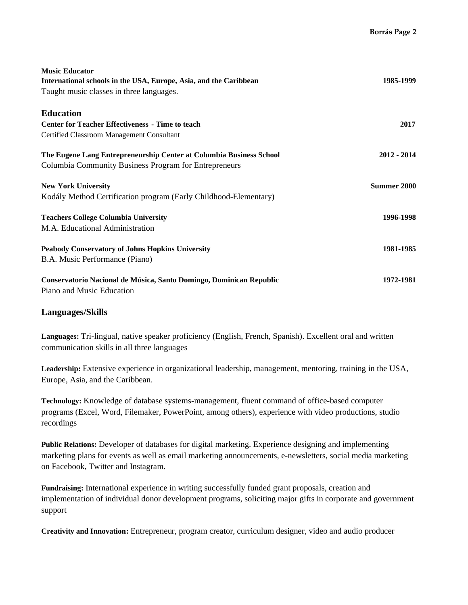| <b>Music Educator</b><br>International schools in the USA, Europe, Asia, and the Caribbean<br>Taught music classes in three languages. | 1985-1999     |
|----------------------------------------------------------------------------------------------------------------------------------------|---------------|
| <b>Education</b>                                                                                                                       |               |
| <b>Center for Teacher Effectiveness - Time to teach</b>                                                                                | 2017          |
| Certified Classroom Management Consultant                                                                                              |               |
| The Eugene Lang Entrepreneurship Center at Columbia Business School                                                                    | $2012 - 2014$ |
| Columbia Community Business Program for Entrepreneurs                                                                                  |               |
| <b>New York University</b>                                                                                                             | Summer 2000   |
| Kodály Method Certification program (Early Childhood-Elementary)                                                                       |               |
| <b>Teachers College Columbia University</b>                                                                                            | 1996-1998     |
| M.A. Educational Administration                                                                                                        |               |
| <b>Peabody Conservatory of Johns Hopkins University</b>                                                                                | 1981-1985     |
| B.A. Music Performance (Piano)                                                                                                         |               |
| Conservatorio Nacional de Música, Santo Domingo, Dominican Republic                                                                    | 1972-1981     |
| Piano and Music Education                                                                                                              |               |

# **Languages/Skills**

**Languages:** Tri-lingual, native speaker proficiency (English, French, Spanish). Excellent oral and written communication skills in all three languages

**Leadership:** Extensive experience in organizational leadership, management, mentoring, training in the USA, Europe, Asia, and the Caribbean.

**Technology:** Knowledge of database systems-management, fluent command of office-based computer programs (Excel, Word, Filemaker, PowerPoint, among others), experience with video productions, studio recordings

**Public Relations:** Developer of databases for digital marketing. Experience designing and implementing marketing plans for events as well as email marketing announcements, e-newsletters, social media marketing on Facebook, Twitter and Instagram.

**Fundraising:** International experience in writing successfully funded grant proposals, creation and implementation of individual donor development programs, soliciting major gifts in corporate and government support

**Creativity and Innovation:** Entrepreneur, program creator, curriculum designer, video and audio producer